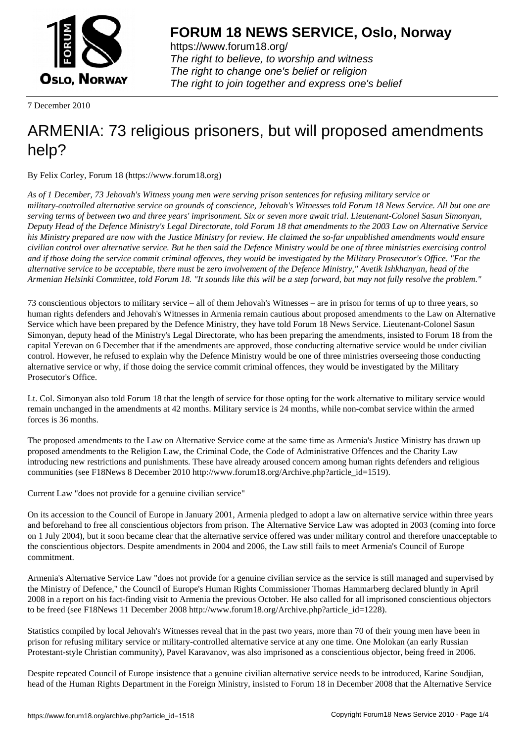

https://www.forum18.org/ The right to believe, to worship and witness The right to change one's belief or religion [The right to join together a](https://www.forum18.org/)nd express one's belief

7 December 2010

## [ARMENIA: 73 r](https://www.forum18.org)eligious prisoners, but will proposed amendments help?

By Felix Corley, Forum 18 (https://www.forum18.org)

*As of 1 December, 73 Jehovah's Witness young men were serving prison sentences for refusing military service or military-controlled alternative service on grounds of conscience, Jehovah's Witnesses told Forum 18 News Service. All but one are serving terms of between two and three years' imprisonment. Six or seven more await trial. Lieutenant-Colonel Sasun Simonyan, Deputy Head of the Defence Ministry's Legal Directorate, told Forum 18 that amendments to the 2003 Law on Alternative Service his Ministry prepared are now with the Justice Ministry for review. He claimed the so-far unpublished amendments would ensure civilian control over alternative service. But he then said the Defence Ministry would be one of three ministries exercising control and if those doing the service commit criminal offences, they would be investigated by the Military Prosecutor's Office. "For the alternative service to be acceptable, there must be zero involvement of the Defence Ministry," Avetik Ishkhanyan, head of the Armenian Helsinki Committee, told Forum 18. "It sounds like this will be a step forward, but may not fully resolve the problem."*

73 conscientious objectors to military service – all of them Jehovah's Witnesses – are in prison for terms of up to three years, so human rights defenders and Jehovah's Witnesses in Armenia remain cautious about proposed amendments to the Law on Alternative Service which have been prepared by the Defence Ministry, they have told Forum 18 News Service. Lieutenant-Colonel Sasun Simonyan, deputy head of the Ministry's Legal Directorate, who has been preparing the amendments, insisted to Forum 18 from the capital Yerevan on 6 December that if the amendments are approved, those conducting alternative service would be under civilian control. However, he refused to explain why the Defence Ministry would be one of three ministries overseeing those conducting alternative service or why, if those doing the service commit criminal offences, they would be investigated by the Military Prosecutor's Office.

Lt. Col. Simonyan also told Forum 18 that the length of service for those opting for the work alternative to military service would remain unchanged in the amendments at 42 months. Military service is 24 months, while non-combat service within the armed forces is 36 months.

The proposed amendments to the Law on Alternative Service come at the same time as Armenia's Justice Ministry has drawn up proposed amendments to the Religion Law, the Criminal Code, the Code of Administrative Offences and the Charity Law introducing new restrictions and punishments. These have already aroused concern among human rights defenders and religious communities (see F18News 8 December 2010 http://www.forum18.org/Archive.php?article\_id=1519).

Current Law "does not provide for a genuine civilian service"

On its accession to the Council of Europe in January 2001, Armenia pledged to adopt a law on alternative service within three years and beforehand to free all conscientious objectors from prison. The Alternative Service Law was adopted in 2003 (coming into force on 1 July 2004), but it soon became clear that the alternative service offered was under military control and therefore unacceptable to the conscientious objectors. Despite amendments in 2004 and 2006, the Law still fails to meet Armenia's Council of Europe commitment.

Armenia's Alternative Service Law "does not provide for a genuine civilian service as the service is still managed and supervised by the Ministry of Defence," the Council of Europe's Human Rights Commissioner Thomas Hammarberg declared bluntly in April 2008 in a report on his fact-finding visit to Armenia the previous October. He also called for all imprisoned conscientious objectors to be freed (see F18News 11 December 2008 http://www.forum18.org/Archive.php?article\_id=1228).

Statistics compiled by local Jehovah's Witnesses reveal that in the past two years, more than 70 of their young men have been in prison for refusing military service or military-controlled alternative service at any one time. One Molokan (an early Russian Protestant-style Christian community), Pavel Karavanov, was also imprisoned as a conscientious objector, being freed in 2006.

Despite repeated Council of Europe insistence that a genuine civilian alternative service needs to be introduced, Karine Soudjian, head of the Human Rights Department in the Foreign Ministry, insisted to Forum 18 in December 2008 that the Alternative Service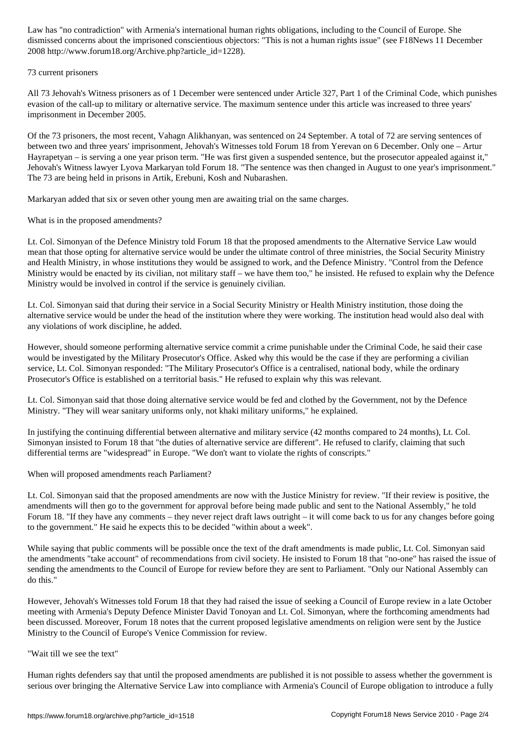dismissed concerns about the imprisoned conscientious objectors: "This is not a human rights issue" (see F18News 11 December 2008 http://www.forum18.org/Archive.php?article\_id=1228).

## 73 current prisoners

All 73 Jehovah's Witness prisoners as of 1 December were sentenced under Article 327, Part 1 of the Criminal Code, which punishes evasion of the call-up to military or alternative service. The maximum sentence under this article was increased to three years' imprisonment in December 2005.

Of the 73 prisoners, the most recent, Vahagn Alikhanyan, was sentenced on 24 September. A total of 72 are serving sentences of between two and three years' imprisonment, Jehovah's Witnesses told Forum 18 from Yerevan on 6 December. Only one – Artur Hayrapetyan – is serving a one year prison term. "He was first given a suspended sentence, but the prosecutor appealed against it," Jehovah's Witness lawyer Lyova Markaryan told Forum 18. "The sentence was then changed in August to one year's imprisonment." The 73 are being held in prisons in Artik, Erebuni, Kosh and Nubarashen.

Markaryan added that six or seven other young men are awaiting trial on the same charges.

What is in the proposed amendments?

Lt. Col. Simonyan of the Defence Ministry told Forum 18 that the proposed amendments to the Alternative Service Law would mean that those opting for alternative service would be under the ultimate control of three ministries, the Social Security Ministry and Health Ministry, in whose institutions they would be assigned to work, and the Defence Ministry. "Control from the Defence Ministry would be enacted by its civilian, not military staff – we have them too," he insisted. He refused to explain why the Defence Ministry would be involved in control if the service is genuinely civilian.

Lt. Col. Simonyan said that during their service in a Social Security Ministry or Health Ministry institution, those doing the alternative service would be under the head of the institution where they were working. The institution head would also deal with any violations of work discipline, he added.

However, should someone performing alternative service commit a crime punishable under the Criminal Code, he said their case would be investigated by the Military Prosecutor's Office. Asked why this would be the case if they are performing a civilian service, Lt. Col. Simonyan responded: "The Military Prosecutor's Office is a centralised, national body, while the ordinary Prosecutor's Office is established on a territorial basis." He refused to explain why this was relevant.

Lt. Col. Simonyan said that those doing alternative service would be fed and clothed by the Government, not by the Defence Ministry. "They will wear sanitary uniforms only, not khaki military uniforms," he explained.

In justifying the continuing differential between alternative and military service (42 months compared to 24 months), Lt. Col. Simonyan insisted to Forum 18 that "the duties of alternative service are different". He refused to clarify, claiming that such differential terms are "widespread" in Europe. "We don't want to violate the rights of conscripts."

When will proposed amendments reach Parliament?

Lt. Col. Simonyan said that the proposed amendments are now with the Justice Ministry for review. "If their review is positive, the amendments will then go to the government for approval before being made public and sent to the National Assembly," he told Forum 18. "If they have any comments – they never reject draft laws outright – it will come back to us for any changes before going to the government." He said he expects this to be decided "within about a week".

While saying that public comments will be possible once the text of the draft amendments is made public, Lt. Col. Simonyan said the amendments "take account" of recommendations from civil society. He insisted to Forum 18 that "no-one" has raised the issue of sending the amendments to the Council of Europe for review before they are sent to Parliament. "Only our National Assembly can do this."

However, Jehovah's Witnesses told Forum 18 that they had raised the issue of seeking a Council of Europe review in a late October meeting with Armenia's Deputy Defence Minister David Tonoyan and Lt. Col. Simonyan, where the forthcoming amendments had been discussed. Moreover, Forum 18 notes that the current proposed legislative amendments on religion were sent by the Justice Ministry to the Council of Europe's Venice Commission for review.

## "Wait till we see the text"

Human rights defenders say that until the proposed amendments are published it is not possible to assess whether the government is serious over bringing the Alternative Service Law into compliance with Armenia's Council of Europe obligation to introduce a fully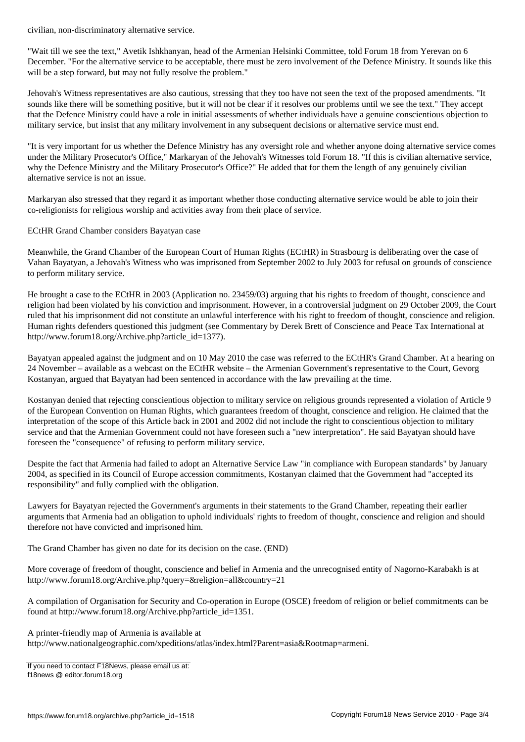"Wait till we see the text," Avetik Ishkhanyan, head of the Armenian Helsinki Committee, told Forum 18 from Yerevan on 6 December. "For the alternative service to be acceptable, there must be zero involvement of the Defence Ministry. It sounds like this will be a step forward, but may not fully resolve the problem."

Jehovah's Witness representatives are also cautious, stressing that they too have not seen the text of the proposed amendments. "It sounds like there will be something positive, but it will not be clear if it resolves our problems until we see the text." They accept that the Defence Ministry could have a role in initial assessments of whether individuals have a genuine conscientious objection to military service, but insist that any military involvement in any subsequent decisions or alternative service must end.

"It is very important for us whether the Defence Ministry has any oversight role and whether anyone doing alternative service comes under the Military Prosecutor's Office," Markaryan of the Jehovah's Witnesses told Forum 18. "If this is civilian alternative service, why the Defence Ministry and the Military Prosecutor's Office?" He added that for them the length of any genuinely civilian alternative service is not an issue.

Markaryan also stressed that they regard it as important whether those conducting alternative service would be able to join their co-religionists for religious worship and activities away from their place of service.

ECtHR Grand Chamber considers Bayatyan case

Meanwhile, the Grand Chamber of the European Court of Human Rights (ECtHR) in Strasbourg is deliberating over the case of Vahan Bayatyan, a Jehovah's Witness who was imprisoned from September 2002 to July 2003 for refusal on grounds of conscience to perform military service.

He brought a case to the ECtHR in 2003 (Application no. 23459/03) arguing that his rights to freedom of thought, conscience and religion had been violated by his conviction and imprisonment. However, in a controversial judgment on 29 October 2009, the Court ruled that his imprisonment did not constitute an unlawful interference with his right to freedom of thought, conscience and religion. Human rights defenders questioned this judgment (see Commentary by Derek Brett of Conscience and Peace Tax International at http://www.forum18.org/Archive.php?article\_id=1377).

Bayatyan appealed against the judgment and on 10 May 2010 the case was referred to the ECtHR's Grand Chamber. At a hearing on 24 November – available as a webcast on the ECtHR website – the Armenian Government's representative to the Court, Gevorg Kostanyan, argued that Bayatyan had been sentenced in accordance with the law prevailing at the time.

Kostanyan denied that rejecting conscientious objection to military service on religious grounds represented a violation of Article 9 of the European Convention on Human Rights, which guarantees freedom of thought, conscience and religion. He claimed that the interpretation of the scope of this Article back in 2001 and 2002 did not include the right to conscientious objection to military service and that the Armenian Government could not have foreseen such a "new interpretation". He said Bayatyan should have foreseen the "consequence" of refusing to perform military service.

Despite the fact that Armenia had failed to adopt an Alternative Service Law "in compliance with European standards" by January 2004, as specified in its Council of Europe accession commitments, Kostanyan claimed that the Government had "accepted its responsibility" and fully complied with the obligation.

Lawyers for Bayatyan rejected the Government's arguments in their statements to the Grand Chamber, repeating their earlier arguments that Armenia had an obligation to uphold individuals' rights to freedom of thought, conscience and religion and should therefore not have convicted and imprisoned him.

The Grand Chamber has given no date for its decision on the case. (END)

More coverage of freedom of thought, conscience and belief in Armenia and the unrecognised entity of Nagorno-Karabakh is at http://www.forum18.org/Archive.php?query=&religion=all&country=21

A compilation of Organisation for Security and Co-operation in Europe (OSCE) freedom of religion or belief commitments can be found at http://www.forum18.org/Archive.php?article\_id=1351.

A printer-friendly map of Armenia is available at

http://www.nationalgeographic.com/xpeditions/atlas/index.html?Parent=asia&Rootmap=armeni.

If you need to contact F18News, please email us at: f18news @ editor.forum18.org